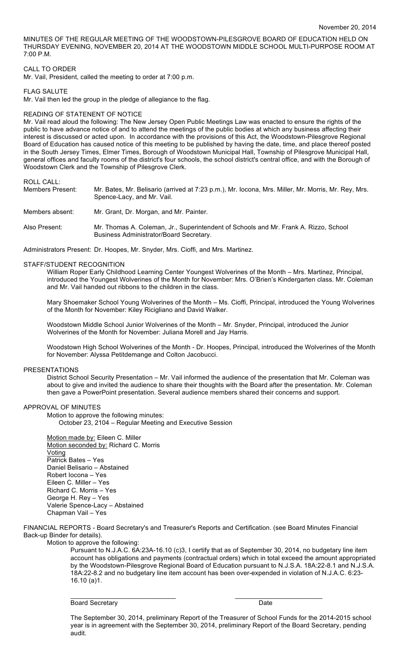MINUTES OF THE REGULAR MEETING OF THE WOODSTOWN-PILESGROVE BOARD OF EDUCATION HELD ON THURSDAY EVENING, NOVEMBER 20, 2014 AT THE WOODSTOWN MIDDLE SCHOOL MULTI-PURPOSE ROOM AT 7:00 P.M.

### CALL TO ORDER

Mr. Vail, President, called the meeting to order at 7:00 p.m.

## FLAG SALUTE

Mr. Vail then led the group in the pledge of allegiance to the flag.

### READING OF STATENENT OF NOTICE

Mr. Vail read aloud the following: The New Jersey Open Public Meetings Law was enacted to ensure the rights of the public to have advance notice of and to attend the meetings of the public bodies at which any business affecting their interest is discussed or acted upon. In accordance with the provisions of this Act, the Woodstown-Pilesgrove Regional Board of Education has caused notice of this meeting to be published by having the date, time, and place thereof posted in the South Jersey Times, Elmer Times, Borough of Woodstown Municipal Hall, Township of Pilesgrove Municipal Hall, general offices and faculty rooms of the district's four schools, the school district's central office, and with the Borough of Woodstown Clerk and the Township of Pilesgrove Clerk.

### ROLL CALL:

| Members Present: | Mr. Bates, Mr. Belisario (arrived at 7:23 p.m.), Mr. Iocona, Mrs. Miller, Mr. Morris, Mr. Rey, Mrs.<br>Spence-Lacy, and Mr. Vail. |
|------------------|-----------------------------------------------------------------------------------------------------------------------------------|
| Members absent:  | Mr. Grant, Dr. Morgan, and Mr. Painter.                                                                                           |
| Also Present:    | Mr. Thomas A. Coleman, Jr., Superintendent of Schools and Mr. Frank A. Rizzo, School<br>Business Administrator/Board Secretary.   |

Administrators Present: Dr. Hoopes, Mr. Snyder, Mrs. Cioffi, and Mrs. Martinez.

### STAFF/STUDENT RECOGNITION

William Roper Early Childhood Learning Center Youngest Wolverines of the Month – Mrs. Martinez, Principal, introduced the Youngest Wolverines of the Month for November: Mrs. O'Brien's Kindergarten class. Mr. Coleman and Mr. Vail handed out ribbons to the children in the class.

Mary Shoemaker School Young Wolverines of the Month – Ms. Cioffi, Principal, introduced the Young Wolverines of the Month for November: Kiley Ricigliano and David Walker.

Woodstown Middle School Junior Wolverines of the Month – Mr. Snyder, Principal, introduced the Junior Wolverines of the Month for November: Juliana Morell and Jay Harris.

Woodstown High School Wolverines of the Month - Dr. Hoopes, Principal, introduced the Wolverines of the Month for November: Alyssa Petitdemange and Colton Jacobucci.

#### PRESENTATIONS

District School Security Presentation – Mr. Vail informed the audience of the presentation that Mr. Coleman was about to give and invited the audience to share their thoughts with the Board after the presentation. Mr. Coleman then gave a PowerPoint presentation. Several audience members shared their concerns and support.

## APPROVAL OF MINUTES

Motion to approve the following minutes:

October 23, 2104 – Regular Meeting and Executive Session

Motion made by: Eileen C. Miller Motion seconded by: Richard C. Morris Voting Patrick Bates – Yes Daniel Belisario – Abstained Robert Iocona – Yes Eileen C. Miller – Yes Richard C. Morris – Yes George H. Rey – Yes Valerie Spence-Lacy – Abstained Chapman Vail – Yes

FINANCIAL REPORTS - Board Secretary's and Treasurer's Reports and Certification. (see Board Minutes Financial Back-up Binder for details).

 $\overline{\phantom{a}}$  , and the contribution of the contribution of  $\overline{\phantom{a}}$  , and  $\overline{\phantom{a}}$  , and  $\overline{\phantom{a}}$  , and  $\overline{\phantom{a}}$ 

Motion to approve the following:

Pursuant to N.J.A.C. 6A:23A-16.10 (c)3, I certify that as of September 30, 2014, no budgetary line item account has obligations and payments (contractual orders) which in total exceed the amount appropriated by the Woodstown-Pilesgrove Regional Board of Education pursuant to N.J.S.A. 18A:22-8.1 and N.J.S.A. 18A:22-8.2 and no budgetary line item account has been over-expended in violation of N.J.A.C. 6:23- 16.10 (a)1.

Board Secretary **Date** 

The September 30, 2014, preliminary Report of the Treasurer of School Funds for the 2014-2015 school year is in agreement with the September 30, 2014, preliminary Report of the Board Secretary, pending audit.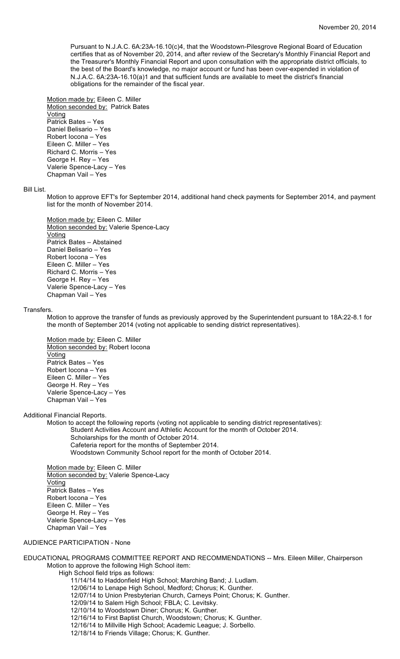Pursuant to N.J.A.C. 6A:23A-16.10(c)4, that the Woodstown-Pilesgrove Regional Board of Education certifies that as of November 20, 2014, and after review of the Secretary's Monthly Financial Report and the Treasurer's Monthly Financial Report and upon consultation with the appropriate district officials, to the best of the Board's knowledge, no major account or fund has been over-expended in violation of N.J.A.C. 6A:23A-16.10(a)1 and that sufficient funds are available to meet the district's financial obligations for the remainder of the fiscal year.

Motion made by: Eileen C. Miller Motion seconded by: Patrick Bates Voting Patrick Bates – Yes Daniel Belisario – Yes Robert Iocona – Yes Eileen C. Miller – Yes Richard C. Morris – Yes George H. Rey – Yes Valerie Spence-Lacy – Yes Chapman Vail – Yes

## Bill List.

Motion to approve EFT's for September 2014, additional hand check payments for September 2014, and payment list for the month of November 2014.

Motion made by: Eileen C. Miller Motion seconded by: Valerie Spence-Lacy **Voting** Patrick Bates – Abstained Daniel Belisario – Yes Robert Iocona – Yes Eileen C. Miller – Yes Richard C. Morris – Yes George H. Rey – Yes Valerie Spence-Lacy – Yes Chapman Vail – Yes

#### Transfers.

Motion to approve the transfer of funds as previously approved by the Superintendent pursuant to 18A:22-8.1 for the month of September 2014 (voting not applicable to sending district representatives).

Motion made by: Eileen C. Miller Motion seconded by: Robert Iocona Voting Patrick Bates – Yes Robert Iocona – Yes Eileen C. Miller – Yes George H. Rey – Yes Valerie Spence-Lacy – Yes Chapman Vail – Yes

Additional Financial Reports.

Motion to accept the following reports (voting not applicable to sending district representatives): Student Activities Account and Athletic Account for the month of October 2014. Scholarships for the month of October 2014. Cafeteria report for the months of September 2014. Woodstown Community School report for the month of October 2014.

Motion made by: Eileen C. Miller Motion seconded by: Valerie Spence-Lacy **Voting** Patrick Bates – Yes Robert Iocona – Yes Eileen C. Miller – Yes George H. Rey – Yes Valerie Spence-Lacy – Yes Chapman Vail – Yes

# AUDIENCE PARTICIPATION - None

EDUCATIONAL PROGRAMS COMMITTEE REPORT AND RECOMMENDATIONS -- Mrs. Eileen Miller, Chairperson Motion to approve the following High School item: High School field trips as follows: 11/14/14 to Haddonfield High School; Marching Band; J. Ludlam. 12/06/14 to Lenape High School, Medford; Chorus; K. Gunther. 12/07/14 to Union Presbyterian Church, Carneys Point; Chorus; K. Gunther. 12/09/14 to Salem High School; FBLA; C. Levitsky. 12/10/14 to Woodstown Diner; Chorus; K. Gunther. 12/16/14 to First Baptist Church, Woodstown; Chorus; K. Gunther. 12/16/14 to Millville High School; Academic League; J. Sorbello.

12/18/14 to Friends Village; Chorus; K. Gunther.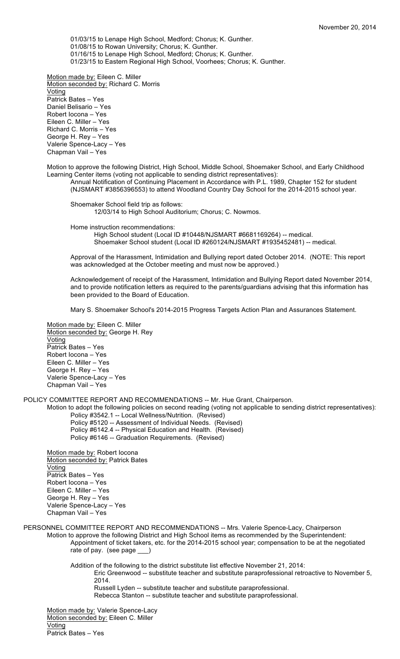01/03/15 to Lenape High School, Medford; Chorus; K. Gunther. 01/08/15 to Rowan University; Chorus; K. Gunther. 01/16/15 to Lenape High School, Medford; Chorus; K. Gunther. 01/23/15 to Eastern Regional High School, Voorhees; Chorus; K. Gunther.

Motion made by: Eileen C. Miller Motion seconded by: Richard C. Morris **Voting** Patrick Bates – Yes Daniel Belisario – Yes Robert Iocona – Yes Eileen C. Miller – Yes Richard C. Morris – Yes George H. Rey – Yes Valerie Spence-Lacy – Yes Chapman Vail – Yes

Motion to approve the following District, High School, Middle School, Shoemaker School, and Early Childhood Learning Center items (voting not applicable to sending district representatives):

Annual Notification of Continuing Placement in Accordance with P.L. 1989, Chapter 152 for student (NJSMART #3856396553) to attend Woodland Country Day School for the 2014-2015 school year.

Shoemaker School field trip as follows: 12/03/14 to High School Auditorium; Chorus; C. Nowmos.

Home instruction recommendations: High School student (Local ID #10448/NJSMART #6681169264) -- medical. Shoemaker School student (Local ID #260124/NJSMART #1935452481) -- medical.

Approval of the Harassment, Intimidation and Bullying report dated October 2014. (NOTE: This report was acknowledged at the October meeting and must now be approved.)

Acknowledgement of receipt of the Harassment, Intimidation and Bullying Report dated November 2014, and to provide notification letters as required to the parents/guardians advising that this information has been provided to the Board of Education.

Mary S. Shoemaker School's 2014-2015 Progress Targets Action Plan and Assurances Statement.

Motion made by: Eileen C. Miller Motion seconded by: George H. Rey **Voting** Patrick Bates – Yes Robert Iocona – Yes Eileen C. Miller – Yes George H. Rey – Yes Valerie Spence-Lacy – Yes Chapman Vail – Yes

POLICY COMMITTEE REPORT AND RECOMMENDATIONS -- Mr. Hue Grant, Chairperson.

Motion to adopt the following policies on second reading (voting not applicable to sending district representatives): Policy #3542.1 -- Local Wellness/Nutrition. (Revised)

Policy #5120 -- Assessment of Individual Needs. (Revised) Policy #6142.4 -- Physical Education and Health. (Revised)

Policy #6146 -- Graduation Requirements. (Revised)

Motion made by: Robert Iocona Motion seconded by: Patrick Bates Voting Patrick Bates – Yes Robert Iocona – Yes Eileen C. Miller – Yes George H. Rey – Yes Valerie Spence-Lacy – Yes Chapman Vail – Yes

PERSONNEL COMMITTEE REPORT AND RECOMMENDATIONS -- Mrs. Valerie Spence-Lacy, Chairperson Motion to approve the following District and High School items as recommended by the Superintendent: Appointment of ticket takers, etc. for the 2014-2015 school year; compensation to be at the negotiated rate of pay. (see page \_\_\_)

> Addition of the following to the district substitute list effective November 21, 2014: Eric Greenwood -- substitute teacher and substitute paraprofessional retroactive to November 5, 2014. Russell Lyden -- substitute teacher and substitute paraprofessional.

Rebecca Stanton -- substitute teacher and substitute paraprofessional.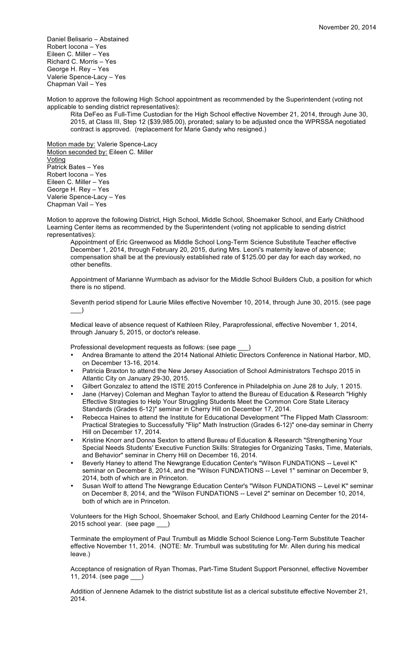Daniel Belisario – Abstained Robert Iocona – Yes Eileen C. Miller – Yes Richard C. Morris – Yes George H. Rey – Yes Valerie Spence-Lacy – Yes Chapman Vail – Yes

Motion to approve the following High School appointment as recommended by the Superintendent (voting not applicable to sending district representatives):

Rita DeFeo as Full-Time Custodian for the High School effective November 21, 2014, through June 30, 2015, at Class III, Step 12 (\$39,985.00), prorated; salary to be adjusted once the WPRSSA negotiated contract is approved. (replacement for Marie Gandy who resigned.)

Motion made by: Valerie Spence-Lacy Motion seconded by: Eileen C. Miller Voting Patrick Bates – Yes Robert Iocona – Yes Eileen C. Miller – Yes George H. Rey – Yes Valerie Spence-Lacy – Yes Chapman Vail – Yes

Motion to approve the following District, High School, Middle School, Shoemaker School, and Early Childhood Learning Center items as recommended by the Superintendent (voting not applicable to sending district representatives):

Appointment of Eric Greenwood as Middle School Long-Term Science Substitute Teacher effective December 1, 2014, through February 20, 2015, during Mrs. Leoni's maternity leave of absence; compensation shall be at the previously established rate of \$125.00 per day for each day worked, no other benefits.

Appointment of Marianne Wurmbach as advisor for the Middle School Builders Club, a position for which there is no stipend.

Seventh period stipend for Laurie Miles effective November 10, 2014, through June 30, 2015. (see page  $\qquad)$ 

Medical leave of absence request of Kathleen Riley, Paraprofessional, effective November 1, 2014, through January 5, 2015, or doctor's release.

Professional development requests as follows: (see page \_\_\_)

- Andrea Bramante to attend the 2014 National Athletic Directors Conference in National Harbor, MD, on December 13-16, 2014.
- Patricia Braxton to attend the New Jersey Association of School Administrators Techspo 2015 in Atlantic City on January 29-30, 2015.
- Gilbert Gonzalez to attend the ISTE 2015 Conference in Philadelphia on June 28 to July, 1 2015.
- Jane (Harvey) Coleman and Meghan Taylor to attend the Bureau of Education & Research "Highly Effective Strategies to Help Your Struggling Students Meet the Common Core State Literacy Standards (Grades 6-12)" seminar in Cherry Hill on December 17, 2014.
- Rebecca Haines to attend the Institute for Educational Development "The Flipped Math Classroom: Practical Strategies to Successfully "Flip" Math Instruction (Grades 6-12)" one-day seminar in Cherry Hill on December 17, 2014.
- Kristine Knorr and Donna Sexton to attend Bureau of Education & Research "Strengthening Your Special Needs Students' Executive Function Skills: Strategies for Organizing Tasks, Time, Materials, and Behavior" seminar in Cherry Hill on December 16, 2014.
- Beverly Haney to attend The Newgrange Education Center's "Wilson FUNDATIONS -- Level K" seminar on December 8, 2014, and the "Wilson FUNDATIONS -- Level 1" seminar on December 9, 2014, both of which are in Princeton.
- Susan Wolf to attend The Newgrange Education Center's "Wilson FUNDATIONS -- Level K" seminar on December 8, 2014, and the "Wilson FUNDATIONS -- Level 2" seminar on December 10, 2014, both of which are in Princeton.

Volunteers for the High School, Shoemaker School, and Early Childhood Learning Center for the 2014- 2015 school year. (see page \_\_\_)

Terminate the employment of Paul Trumbull as Middle School Science Long-Term Substitute Teacher effective November 11, 2014. (NOTE: Mr. Trumbull was substituting for Mr. Allen during his medical leave.)

Acceptance of resignation of Ryan Thomas, Part-Time Student Support Personnel, effective November 11, 2014. (see page \_\_\_)

Addition of Jennene Adamek to the district substitute list as a clerical substitute effective November 21, 2014.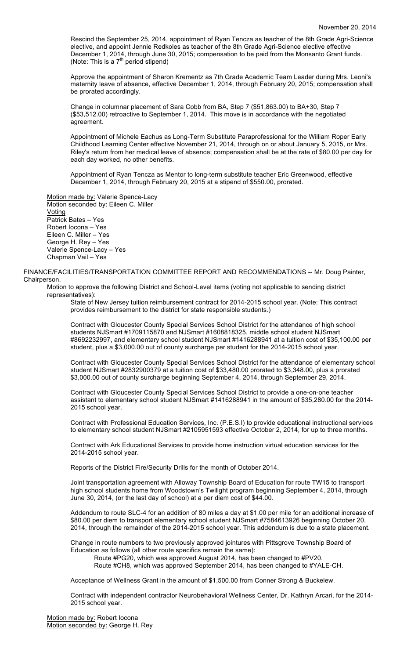Rescind the September 25, 2014, appointment of Ryan Tencza as teacher of the 8th Grade Agri-Science elective, and appoint Jennie Redkoles as teacher of the 8th Grade Agri-Science elective effective December 1, 2014, through June 30, 2015; compensation to be paid from the Monsanto Grant funds. (Note: This is a  $7<sup>th</sup>$  period stipend)

Approve the appointment of Sharon Krementz as 7th Grade Academic Team Leader during Mrs. Leoni's maternity leave of absence, effective December 1, 2014, through February 20, 2015; compensation shall be prorated accordingly.

Change in columnar placement of Sara Cobb from BA, Step 7 (\$51,863.00) to BA+30, Step 7 (\$53,512.00) retroactive to September 1, 2014. This move is in accordance with the negotiated agreement.

Appointment of Michele Eachus as Long-Term Substitute Paraprofessional for the William Roper Early Childhood Learning Center effective November 21, 2014, through on or about January 5, 2015, or Mrs. Riley's return from her medical leave of absence; compensation shall be at the rate of \$80.00 per day for each day worked, no other benefits.

Appointment of Ryan Tencza as Mentor to long-term substitute teacher Eric Greenwood, effective December 1, 2014, through February 20, 2015 at a stipend of \$550.00, prorated.

Motion made by: Valerie Spence-Lacy Motion seconded by: Eileen C. Miller **Voting** Patrick Bates – Yes Robert Iocona – Yes Eileen C. Miller – Yes George H. Rey – Yes Valerie Spence-Lacy – Yes Chapman Vail – Yes

FINANCE/FACILITIES/TRANSPORTATION COMMITTEE REPORT AND RECOMMENDATIONS -- Mr. Doug Painter, Chairperson.

Motion to approve the following District and School-Level items (voting not applicable to sending district representatives):

State of New Jersey tuition reimbursement contract for 2014-2015 school year. (Note: This contract provides reimbursement to the district for state responsible students.)

Contract with Gloucester County Special Services School District for the attendance of high school students NJSmart #1709115870 and NJSmart #1608818325, middle school student NJSmart #8692232997, and elementary school student NJSmart #1416288941 at a tuition cost of \$35,100.00 per student, plus a \$3,000.00 out of county surcharge per student for the 2014-2015 school year.

Contract with Gloucester County Special Services School District for the attendance of elementary school student NJSmart #2832900379 at a tuition cost of \$33,480.00 prorated to \$3,348.00, plus a prorated \$3,000.00 out of county surcharge beginning September 4, 2014, through September 29, 2014.

Contract with Gloucester County Special Services School District to provide a one-on-one teacher assistant to elementary school student NJSmart #1416288941 in the amount of \$35,280.00 for the 2014- 2015 school year.

Contract with Professional Education Services, Inc. (P.E.S.I) to provide educational instructional services to elementary school student NJSmart #2105951593 effective October 2, 2014, for up to three months.

Contract with Ark Educational Services to provide home instruction virtual education services for the 2014-2015 school year.

Reports of the District Fire/Security Drills for the month of October 2014.

Joint transportation agreement with Alloway Township Board of Education for route TW15 to transport high school students home from Woodstown's Twilight program beginning September 4, 2014, through June 30, 2014, (or the last day of school) at a per diem cost of \$44.00.

Addendum to route SLC-4 for an addition of 80 miles a day at \$1.00 per mile for an additional increase of \$80.00 per diem to transport elementary school student NJSmart #7584613926 beginning October 20, 2014, through the remainder of the 2014-2015 school year. This addendum is due to a state placement.

Change in route numbers to two previously approved jointures with Pittsgrove Township Board of Education as follows (all other route specifics remain the same):

Route #PG20, which was approved August 2014, has been changed to #PV20.

Route #CH8, which was approved September 2014, has been changed to #YALE-CH.

Acceptance of Wellness Grant in the amount of \$1,500.00 from Conner Strong & Buckelew.

Contract with independent contractor Neurobehavioral Wellness Center, Dr. Kathryn Arcari, for the 2014- 2015 school year.

Motion made by: Robert Iocona Motion seconded by: George H. Rey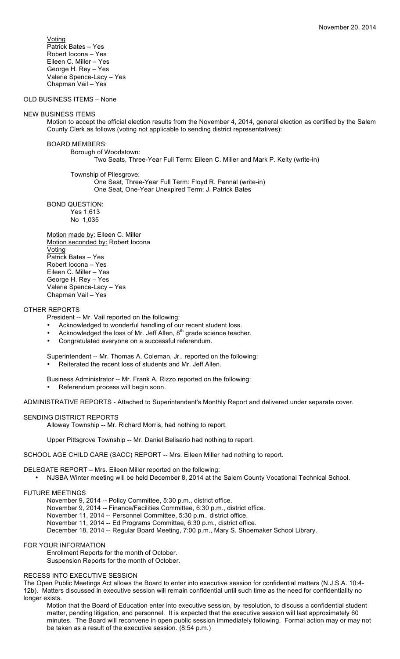Voting Patrick Bates – Yes Robert Iocona – Yes Eileen C. Miller – Yes George H. Rey – Yes Valerie Spence-Lacy – Yes Chapman Vail – Yes

OLD BUSINESS ITEMS – None

## NEW BUSINESS ITEMS

Motion to accept the official election results from the November 4, 2014, general election as certified by the Salem County Clerk as follows (voting not applicable to sending district representatives):

BOARD MEMBERS:

Borough of Woodstown:

Two Seats, Three-Year Full Term: Eileen C. Miller and Mark P. Kelty (write-in)

Township of Pilesgrove:

One Seat, Three-Year Full Term: Floyd R. Pennal (write-in) One Seat, One-Year Unexpired Term: J. Patrick Bates

BOND QUESTION: Yes 1,613 No 1,035

Motion made by: Eileen C. Miller Motion seconded by: Robert Iocona Voting Patrick Bates – Yes Robert Iocona – Yes Eileen C. Miller – Yes George H. Rey – Yes Valerie Spence-Lacy – Yes Chapman Vail – Yes

## OTHER REPORTS

President -- Mr. Vail reported on the following:

- Acknowledged to wonderful handling of our recent student loss.
- Acknowledged the loss of Mr. Jeff Allen,  $8<sup>th</sup>$  grade science teacher.
- Congratulated everyone on a successful referendum.
- Superintendent -- Mr. Thomas A. Coleman, Jr., reported on the following:
- Reiterated the recent loss of students and Mr. Jeff Allen.

Business Administrator -- Mr. Frank A. Rizzo reported on the following:

Referendum process will begin soon.

ADMINISTRATIVE REPORTS - Attached to Superintendent's Monthly Report and delivered under separate cover.

## SENDING DISTRICT REPORTS

Alloway Township -- Mr. Richard Morris, had nothing to report.

Upper Pittsgrove Township -- Mr. Daniel Belisario had nothing to report.

SCHOOL AGE CHILD CARE (SACC) REPORT -- Mrs. Eileen Miller had nothing to report.

DELEGATE REPORT – Mrs. Eileen Miller reported on the following:

• NJSBA Winter meeting will be held December 8, 2014 at the Salem County Vocational Technical School.

## FUTURE MEETINGS

November 9, 2014 -- Policy Committee, 5:30 p.m., district office.

November 9, 2014 -- Finance/Facilities Committee, 6:30 p.m., district office.

November 11, 2014 -- Personnel Committee, 5:30 p.m., district office.

November 11, 2014 -- Ed Programs Committee, 6:30 p.m., district office.

December 18, 2014 -- Regular Board Meeting, 7:00 p.m., Mary S. Shoemaker School Library.

## FOR YOUR INFORMATION

Enrollment Reports for the month of October. Suspension Reports for the month of October.

## RECESS INTO EXECUTIVE SESSION

The Open Public Meetings Act allows the Board to enter into executive session for confidential matters (N.J.S.A. 10:4- 12b). Matters discussed in executive session will remain confidential until such time as the need for confidentiality no longer exists.

Motion that the Board of Education enter into executive session, by resolution, to discuss a confidential student matter, pending litigation, and personnel. It is expected that the executive session will last approximately 60 minutes. The Board will reconvene in open public session immediately following. Formal action may or may not be taken as a result of the executive session. (8:54 p.m.)